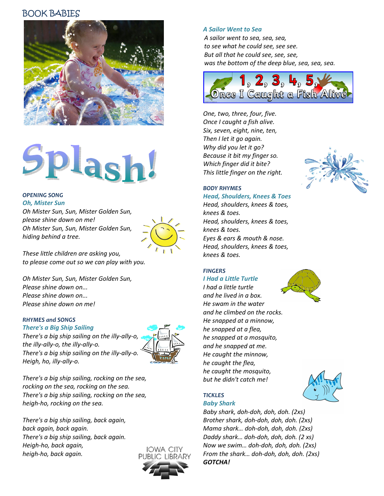# BOOK BABIES



# Splash

#### OPENING SONG Oh, Mister Sun

Oh Mister Sun, Sun, Mister Golden Sun, please shine down on me! Oh Mister Sun, Sun, Mister Golden Sun, hiding behind a tree.



These little children are asking you, to please come out so we can play with you.

Oh Mister Sun, Sun, Mister Golden Sun, Please shine down on... Please shine down on... Please shine down on me!

#### RHYMES and SONGS

Heigh, ho, illy-ally-o.

There's a Big Ship Sailing There's a big ship sailing on the illy-ally-o, the illy-ally-o, the illy-ally-o. There's a big ship sailing on the illy-ally-o.



There's a big ship sailing, rocking on the sea, rocking on the sea, rocking on the sea. There's a big ship sailing, rocking on the sea, heigh-ho, rocking on the sea.

There's a big ship sailing, back again, back again, back again. There's a big ship sailing, back again. Heigh-ho, back again, heigh-ho, back again.



#### A Sailor Went to Sea

A sailor went to sea, sea, sea, to see what he could see, see see. But all that he could see, see, see, was the bottom of the deep blue, sea, sea, sea.



One, two, three, four, five. Once I caught a fish alive. Six, seven, eight, nine, ten, Then I let it go again. Why did you let it go? Because it bit my finger so. Which finger did it bite? This little finger on the right.



#### BODY RHYMES

### Head, Shoulders, Knees & Toes

Head, shoulders, knees & toes, knees & toes. Head, shoulders, knees & toes, knees & toes. Eyes & ears & mouth & nose. Head, shoulders, knees & toes, knees & toes.

# FINGERS

# I Had a Little Turtle

I had a little turtle and he lived in a box. He swam in the water and he climbed on the rocks. He snapped at a minnow, he snapped at a flea, he snapped at a mosquito, and he snapped at me. He caught the minnow, he caught the flea, he caught the mosquito, but he didn't catch me!



## **TICKLES**

#### Baby Shark

Baby shark, doh-doh, doh, doh. (2xs) Brother shark, doh-doh, doh, doh. (2xs) Mama shark… doh-doh, doh, doh. (2xs) Daddy shark… doh-doh, doh, doh. (2 xs) Now we swim… doh-doh, doh, doh. (2xs) From the shark… doh-doh, doh, doh. (2xs) GOTCHA!